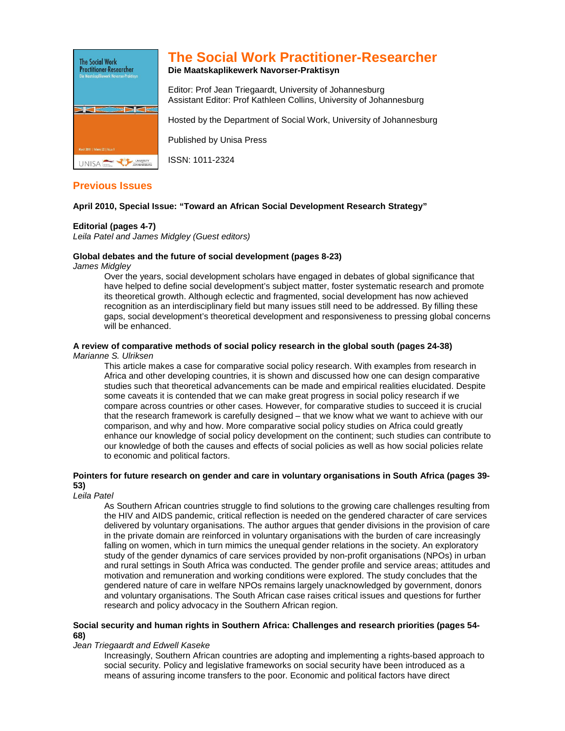

# **The Social Work Practitioner-Researcher**

## **Die Maatskaplikewerk Navorser-Praktisyn**

Editor: Prof Jean Triegaardt, University of Johannesburg Assistant Editor: Prof Kathleen Collins, University of Johannesburg

Hosted by the Department of Social Work, University of Johannesburg

Published by Unisa Press

ISSN: 1011-2324

# **Previous Issues**

## **April 2010, Special Issue: "Toward an African Social Development Research Strategy"**

## **Editorial (pages 4-7)**

Leila Patel and James Midgley (Guest editors)

## **Global debates and the future of social development (pages 8-23)**

James Midgley

Over the years, social development scholars have engaged in debates of global significance that have helped to define social development's subject matter, foster systematic research and promote its theoretical growth. Although eclectic and fragmented, social development has now achieved recognition as an interdisciplinary field but many issues still need to be addressed. By filling these gaps, social development's theoretical development and responsiveness to pressing global concerns will be enhanced.

# **A review of comparative methods of social policy research in the global south (pages 24-38)**

#### Marianne S. Ulriksen

This article makes a case for comparative social policy research. With examples from research in Africa and other developing countries, it is shown and discussed how one can design comparative studies such that theoretical advancements can be made and empirical realities elucidated. Despite some caveats it is contended that we can make great progress in social policy research if we compare across countries or other cases. However, for comparative studies to succeed it is crucial that the research framework is carefully designed – that we know what we want to achieve with our comparison, and why and how. More comparative social policy studies on Africa could greatly enhance our knowledge of social policy development on the continent; such studies can contribute to our knowledge of both the causes and effects of social policies as well as how social policies relate to economic and political factors.

## **Pointers for future research on gender and care in voluntary organisations in South Africa (pages 39- 53)**

Leila Patel

As Southern African countries struggle to find solutions to the growing care challenges resulting from the HIV and AIDS pandemic, critical reflection is needed on the gendered character of care services delivered by voluntary organisations. The author argues that gender divisions in the provision of care in the private domain are reinforced in voluntary organisations with the burden of care increasingly falling on women, which in turn mimics the unequal gender relations in the society. An exploratory study of the gender dynamics of care services provided by non-profit organisations (NPOs) in urban and rural settings in South Africa was conducted. The gender profile and service areas; attitudes and motivation and remuneration and working conditions were explored. The study concludes that the gendered nature of care in welfare NPOs remains largely unacknowledged by government, donors and voluntary organisations. The South African case raises critical issues and questions for further research and policy advocacy in the Southern African region.

#### **Social security and human rights in Southern Africa: Challenges and research priorities (pages 54- 68)**

#### Jean Triegaardt and Edwell Kaseke

Increasingly, Southern African countries are adopting and implementing a rights-based approach to social security. Policy and legislative frameworks on social security have been introduced as a means of assuring income transfers to the poor. Economic and political factors have direct